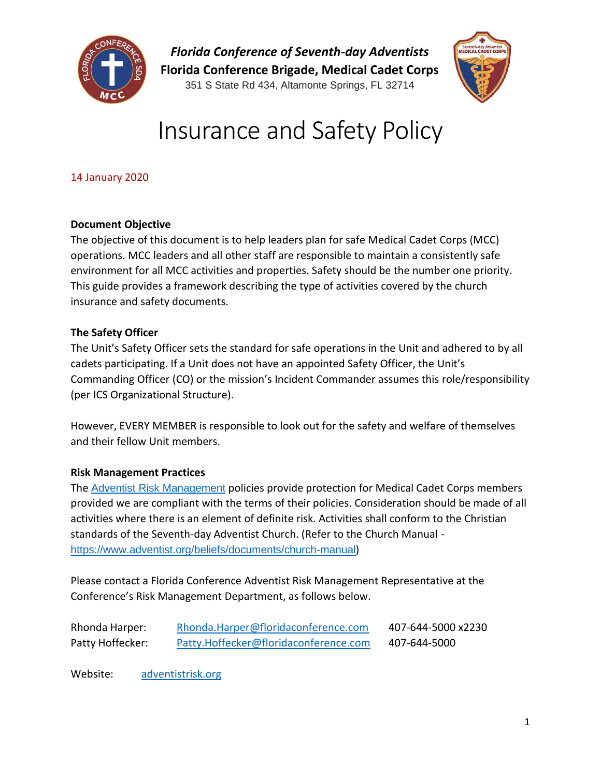

*Florida Conference of Seventh-day Adventists* **Florida Conference Brigade, Medical Cadet Corps** 351 S State Rd 434, Altamonte Springs, FL 32714



# Insurance and Safety Policy

14 January 2020

### **Document Objective**

The objective of this document is to help leaders plan for safe Medical Cadet Corps (MCC) operations. MCC leaders and all other staff are responsible to maintain a consistently safe environment for all MCC activities and properties. Safety should be the number one priority. This guide provides a framework describing the type of activities covered by the church insurance and safety documents.

### **The Safety Officer**

The Unit's Safety Officer sets the standard for safe operations in the Unit and adhered to by all cadets participating. If a Unit does not have an appointed Safety Officer, the Unit's Commanding Officer (CO) or the mission's Incident Commander assumes this role/responsibility (per ICS Organizational Structure).

However, EVERY MEMBER is responsible to look out for the safety and welfare of themselves and their fellow Unit members.

### **Risk Management Practices**

The **[Adventist Risk Management](https://floridaconference.com/ministries/risk-management/) policies provide protection for Medical Cadet Corps members** provided we are compliant with the terms of their policies. Consideration should be made of all activities where there is an element of definite risk. Activities shall conform to the Christian standards of the Seventh-day Adventist Church. (Refer to the Church Manual <https://www.adventist.org/beliefs/documents/church-manual>)

Please contact a Florida Conference Adventist Risk Management Representative at the Conference's Risk Management Department, as follows below.

| Rhonda Harper:   | Rhonda.Harper@floridaconference.com   | 407-644-5000 x2230 |
|------------------|---------------------------------------|--------------------|
| Patty Hoffecker: | Patty.Hoffecker@floridaconference.com | 407-644-5000       |

Website: [adventistrisk.org](http://www.adventistrisk.org/)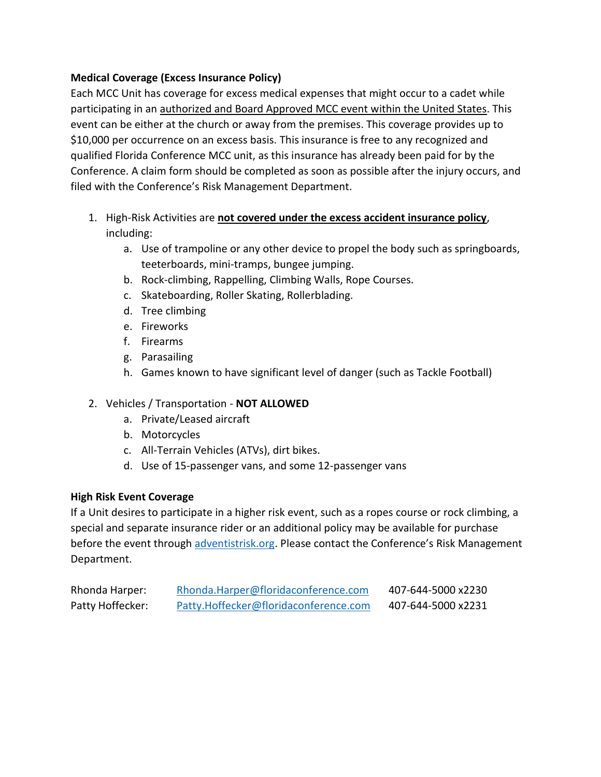### **Medical Coverage (Excess Insurance Policy)**

Each MCC Unit has coverage for excess medical expenses that might occur to a cadet while participating in an authorized and Board Approved MCC event within the United States. This event can be either at the church or away from the premises. This coverage provides up to \$10,000 per occurrence on an excess basis. This insurance is free to any recognized and qualified Florida Conference MCC unit, as this insurance has already been paid for by the Conference. A claim form should be completed as soon as possible after the injury occurs, and filed with the Conference's Risk Management Department.

- 1. High-Risk Activities are **not covered under the excess accident insurance policy**, including:
	- a. Use of trampoline or any other device to propel the body such as springboards, teeterboards, mini-tramps, bungee jumping.
	- b. Rock-climbing, Rappelling, Climbing Walls, Rope Courses.
	- c. Skateboarding, Roller Skating, Rollerblading.
	- d. Tree climbing
	- e. Fireworks
	- f. Firearms
	- g. Parasailing
	- h. Games known to have significant level of danger (such as Tackle Football)

### 2. Vehicles / Transportation - **NOT ALLOWED**

- a. Private/Leased aircraft
- b. Motorcycles
- c. All-Terrain Vehicles (ATVs), dirt bikes.
- d. Use of 15-passenger vans, and some 12-passenger vans

### **High Risk Event Coverage**

If a Unit desires to participate in a higher risk event, such as a ropes course or rock climbing, a special and separate insurance rider or an additional policy may be available for purchase before the event through [adventistrisk.org.](http://www.adventistrisk.org/) Please contact the Conference's Risk Management Department.

| Rhonda Harper:   | Rhonda.Harper@floridaconference.com   | 407-644-5000 x2230 |
|------------------|---------------------------------------|--------------------|
| Patty Hoffecker: | Patty.Hoffecker@floridaconference.com | 407-644-5000 x2231 |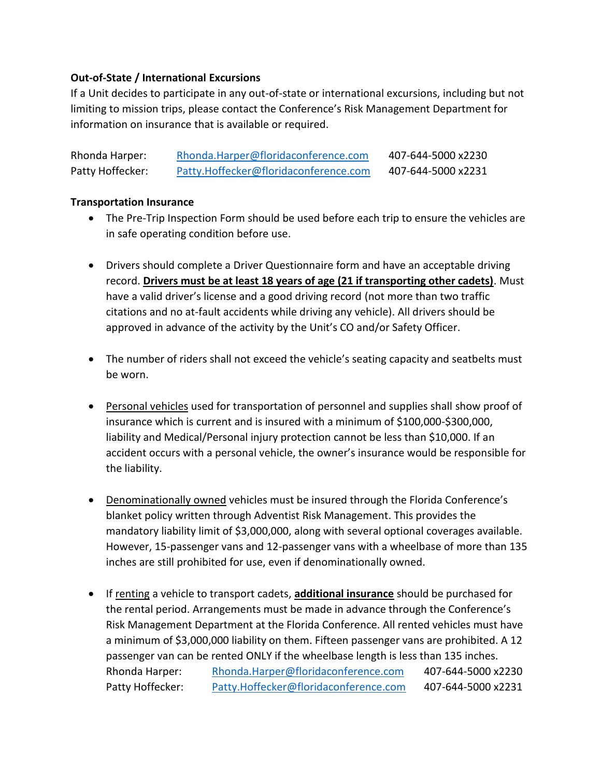### **Out-of-State / International Excursions**

If a Unit decides to participate in any out-of-state or international excursions, including but not limiting to mission trips, please contact the Conference's Risk Management Department for information on insurance that is available or required.

| Rhonda Harper:   | Rhonda.Harper@floridaconference.com   | 407-644-5000 x2230 |
|------------------|---------------------------------------|--------------------|
| Patty Hoffecker: | Patty.Hoffecker@floridaconference.com | 407-644-5000 x2231 |

### **Transportation Insurance**

- The Pre-Trip Inspection Form should be used before each trip to ensure the vehicles are in safe operating condition before use.
- Drivers should complete a Driver Questionnaire form and have an acceptable driving record. **Drivers must be at least 18 years of age (21 if transporting other cadets)**. Must have a valid driver's license and a good driving record (not more than two traffic citations and no at-fault accidents while driving any vehicle). All drivers should be approved in advance of the activity by the Unit's CO and/or Safety Officer.
- The number of riders shall not exceed the vehicle's seating capacity and seatbelts must be worn.
- Personal vehicles used for transportation of personnel and supplies shall show proof of insurance which is current and is insured with a minimum of \$100,000-\$300,000, liability and Medical/Personal injury protection cannot be less than \$10,000. If an accident occurs with a personal vehicle, the owner's insurance would be responsible for the liability.
- Denominationally owned vehicles must be insured through the Florida Conference's blanket policy written through Adventist Risk Management. This provides the mandatory liability limit of \$3,000,000, along with several optional coverages available. However, 15-passenger vans and 12-passenger vans with a wheelbase of more than 135 inches are still prohibited for use, even if denominationally owned.
- If renting a vehicle to transport cadets, **additional insurance** should be purchased for the rental period. Arrangements must be made in advance through the Conference's Risk Management Department at the Florida Conference. All rented vehicles must have a minimum of \$3,000,000 liability on them. Fifteen passenger vans are prohibited. A 12 passenger van can be rented ONLY if the wheelbase length is less than 135 inches. Rhonda Harper: [Rhonda.Harper@floridaconference.com](mailto:Rhonda.Harper@floridaconference.com) 407-644-5000 x2230 Patty Hoffecker: [Patty.Hoffecker@floridaconference.com](mailto:Patty.Hoffecker@floridaconference.com) 407-644-5000 x2231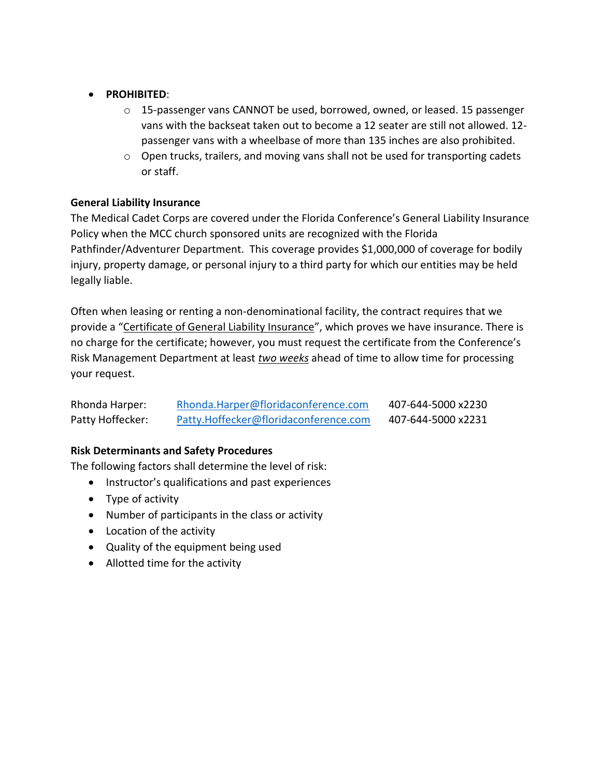### • **PROHIBITED**:

- $\circ$  15-passenger vans CANNOT be used, borrowed, owned, or leased. 15 passenger vans with the backseat taken out to become a 12 seater are still not allowed. 12 passenger vans with a wheelbase of more than 135 inches are also prohibited.
- o Open trucks, trailers, and moving vans shall not be used for transporting cadets or staff.

### **General Liability Insurance**

The Medical Cadet Corps are covered under the Florida Conference's General Liability Insurance Policy when the MCC church sponsored units are recognized with the Florida Pathfinder/Adventurer Department. This coverage provides \$1,000,000 of coverage for bodily injury, property damage, or personal injury to a third party for which our entities may be held legally liable.

Often when leasing or renting a non-denominational facility, the contract requires that we provide a "Certificate of General Liability Insurance", which proves we have insurance. There is no charge for the certificate; however, you must request the certificate from the Conference's Risk Management Department at least *two weeks* ahead of time to allow time for processing your request.

| Rhonda Harper:   | Rhonda.Harper@floridaconference.com   | 407-644-5000 x2230 |
|------------------|---------------------------------------|--------------------|
| Patty Hoffecker: | Patty.Hoffecker@floridaconference.com | 407-644-5000 x2231 |

### **Risk Determinants and Safety Procedures**

The following factors shall determine the level of risk:

- Instructor's qualifications and past experiences
- Type of activity
- Number of participants in the class or activity
- Location of the activity
- Quality of the equipment being used
- Allotted time for the activity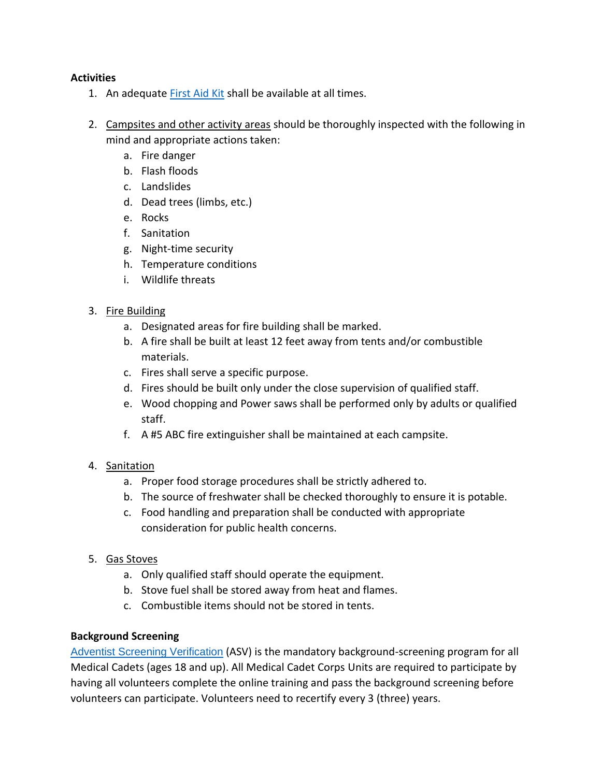### **Activities**

- 1. An adequate [First Aid Kit](https://floridaconference.com/forms-resources/) shall be available at all times.
- 2. Campsites and other activity areas should be thoroughly inspected with the following in mind and appropriate actions taken:
	- a. Fire danger
	- b. Flash floods
	- c. Landslides
	- d. Dead trees (limbs, etc.)
	- e. Rocks
	- f. Sanitation
	- g. Night-time security
	- h. Temperature conditions
	- i. Wildlife threats
- 3. Fire Building
	- a. Designated areas for fire building shall be marked.
	- b. A fire shall be built at least 12 feet away from tents and/or combustible materials.
	- c. Fires shall serve a specific purpose.
	- d. Fires should be built only under the close supervision of qualified staff.
	- e. Wood chopping and Power saws shall be performed only by adults or qualified staff.
	- f. A #5 ABC fire extinguisher shall be maintained at each campsite.

### 4. Sanitation

- a. Proper food storage procedures shall be strictly adhered to.
- b. The source of freshwater shall be checked thoroughly to ensure it is potable.
- c. Food handling and preparation shall be conducted with appropriate consideration for public health concerns.
- 5. Gas Stoves
	- a. Only qualified staff should operate the equipment.
	- b. Stove fuel shall be stored away from heat and flames.
	- c. Combustible items should not be stored in tents.

### **Background Screening**

[Adventist Screening Verification](https://floridaconference.com/join-mcc/how-to-complete-the-adventist-screening-verification-asv-2/) (ASV) is the mandatory background-screening program for all Medical Cadets (ages 18 and up). All Medical Cadet Corps Units are required to participate by having all volunteers complete the online training and pass the background screening before volunteers can participate. Volunteers need to recertify every 3 (three) years.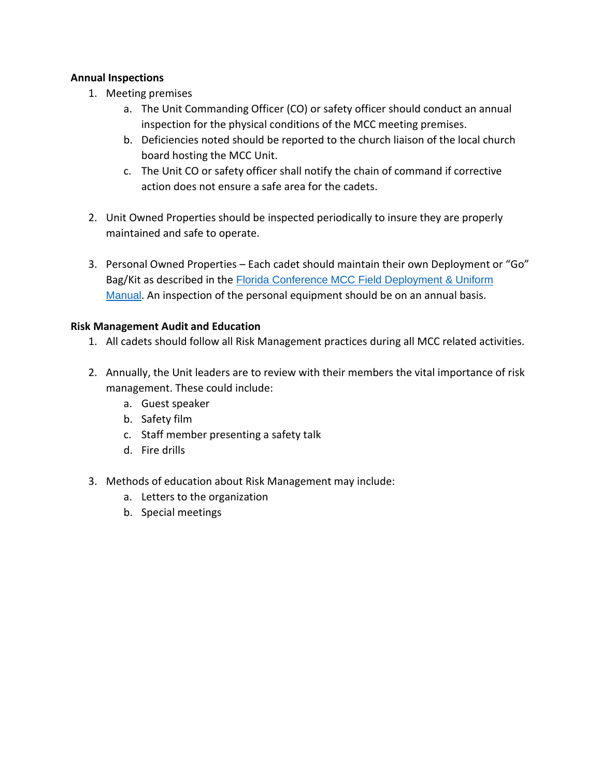### **Annual Inspections**

- 1. Meeting premises
	- a. The Unit Commanding Officer (CO) or safety officer should conduct an annual inspection for the physical conditions of the MCC meeting premises.
	- b. Deficiencies noted should be reported to the church liaison of the local church board hosting the MCC Unit.
	- c. The Unit CO or safety officer shall notify the chain of command if corrective action does not ensure a safe area for the cadets.
- 2. Unit Owned Properties should be inspected periodically to insure they are properly maintained and safe to operate.
- 3. Personal Owned Properties Each cadet should maintain their own Deployment or "Go" Bag/Kit as described in the [Florida Conference MCC Field Deployment & Uniform](https://floridaconference.com/forms-resources/)  [Manual](https://floridaconference.com/forms-resources/). An inspection of the personal equipment should be on an annual basis.

### **Risk Management Audit and Education**

- 1. All cadets should follow all Risk Management practices during all MCC related activities.
- 2. Annually, the Unit leaders are to review with their members the vital importance of risk management. These could include:
	- a. Guest speaker
	- b. Safety film
	- c. Staff member presenting a safety talk
	- d. Fire drills
- 3. Methods of education about Risk Management may include:
	- a. Letters to the organization
	- b. Special meetings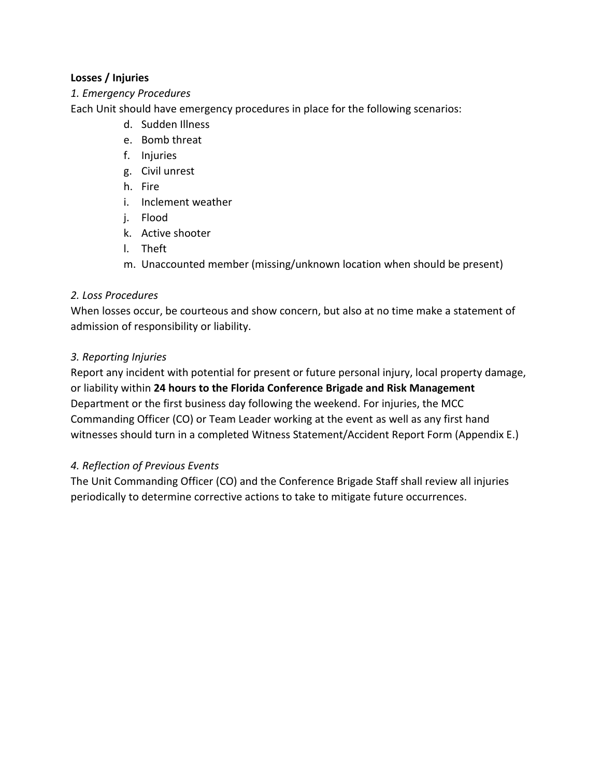### **Losses / Injuries**

### *1. Emergency Procedures*

Each Unit should have emergency procedures in place for the following scenarios:

- d. Sudden Illness
- e. Bomb threat
- f. Injuries
- g. Civil unrest
- h. Fire
- i. Inclement weather
- j. Flood
- k. Active shooter
- l. Theft
- m. Unaccounted member (missing/unknown location when should be present)

### *2. Loss Procedures*

When losses occur, be courteous and show concern, but also at no time make a statement of admission of responsibility or liability.

### *3. Reporting Injuries*

Report any incident with potential for present or future personal injury, local property damage, or liability within **24 hours to the Florida Conference Brigade and Risk Management**  Department or the first business day following the weekend. For injuries, the MCC Commanding Officer (CO) or Team Leader working at the event as well as any first hand witnesses should turn in a completed Witness Statement/Accident Report Form (Appendix E.)

### *4. Reflection of Previous Events*

The Unit Commanding Officer (CO) and the Conference Brigade Staff shall review all injuries periodically to determine corrective actions to take to mitigate future occurrences.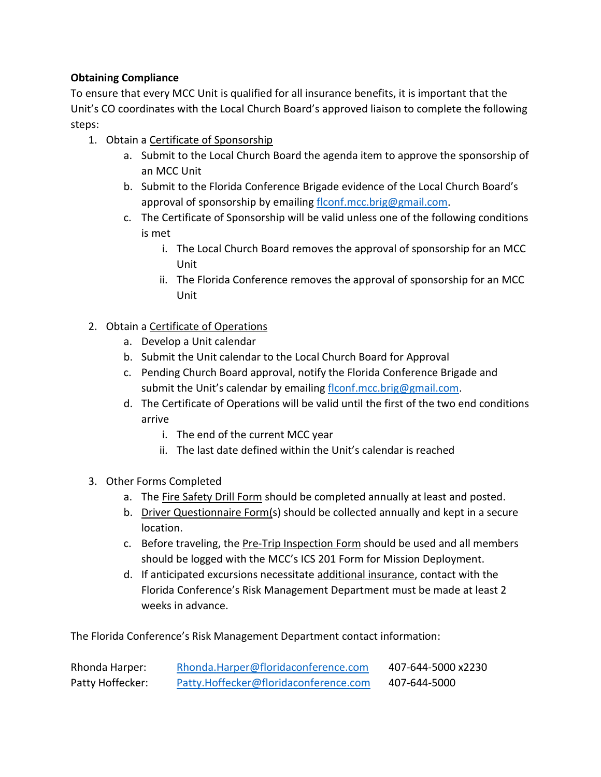### **Obtaining Compliance**

To ensure that every MCC Unit is qualified for all insurance benefits, it is important that the Unit's CO coordinates with the Local Church Board's approved liaison to complete the following steps:

- 1. Obtain a Certificate of Sponsorship
	- a. Submit to the Local Church Board the agenda item to approve the sponsorship of an MCC Unit
	- b. Submit to the Florida Conference Brigade evidence of the Local Church Board's approval of sponsorship by emailing [flconf.mcc.brig@gmail.com.](mailto:flconf.mcc.brig@gmail.com)
	- c. The Certificate of Sponsorship will be valid unless one of the following conditions is met
		- i. The Local Church Board removes the approval of sponsorship for an MCC Unit
		- ii. The Florida Conference removes the approval of sponsorship for an MCC Unit

### 2. Obtain a Certificate of Operations

- a. Develop a Unit calendar
- b. Submit the Unit calendar to the Local Church Board for Approval
- c. Pending Church Board approval, notify the Florida Conference Brigade and submit the Unit's calendar by emailing [flconf.mcc.brig@gmail.com.](mailto:flconf.mcc.brig@gmail.com)
- d. The Certificate of Operations will be valid until the first of the two end conditions arrive
	- i. The end of the current MCC year
	- ii. The last date defined within the Unit's calendar is reached
- 3. Other Forms Completed
	- a. The Fire Safety Drill Form should be completed annually at least and posted.
	- b. Driver Questionnaire Form(s) should be collected annually and kept in a secure location.
	- c. Before traveling, the **Pre-Trip Inspection Form** should be used and all members should be logged with the MCC's ICS 201 Form for Mission Deployment.
	- d. If anticipated excursions necessitate additional insurance, contact with the Florida Conference's Risk Management Department must be made at least 2 weeks in advance.

The Florida Conference's Risk Management Department contact information:

| Rhonda Harper:   | Rhonda.Harper@floridaconference.com   | 407-644-5000 x2230 |
|------------------|---------------------------------------|--------------------|
| Patty Hoffecker: | Patty.Hoffecker@floridaconference.com | 407-644-5000       |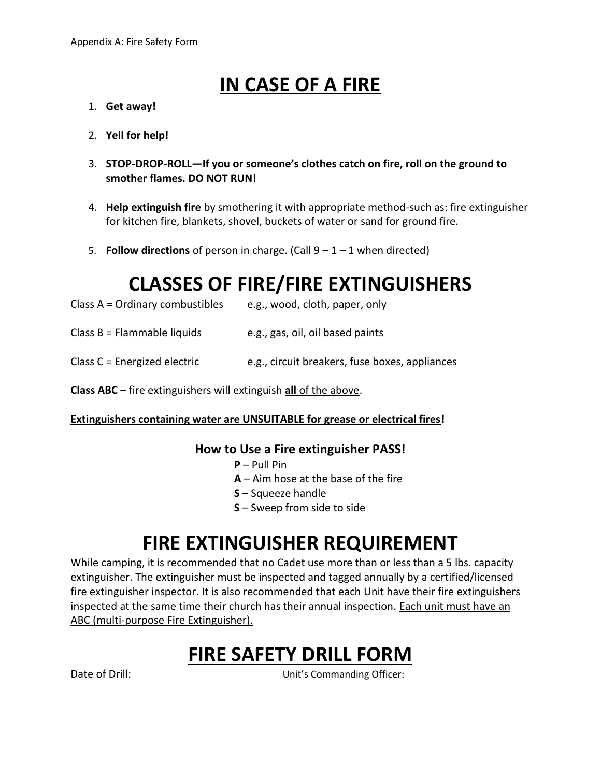## **IN CASE OF A FIRE**

- 1. **Get away!**
- 2. **Yell for help!**
- 3. **STOP-DROP-ROLL—If you or someone's clothes catch on fire, roll on the ground to smother flames. DO NOT RUN!**
- 4. **Help extinguish fire** by smothering it with appropriate method-such as: fire extinguisher for kitchen fire, blankets, shovel, buckets of water or sand for ground fire.
- 5. **Follow directions** of person in charge. (Call 9 1 1 when directed)

### **CLASSES OF FIRE/FIRE EXTINGUISHERS**

| Class A = Ordinary combustibles | e.g., wood, cloth, paper, only |
|---------------------------------|--------------------------------|
|---------------------------------|--------------------------------|

Class  $B =$  Flammable liquids e.g., gas, oil, oil based paints

### Class  $C$  = Energized electric e.g., circuit breakers, fuse boxes, appliances

**Class ABC** – fire extinguishers will extinguish **all** of the above.

### **Extinguishers containing water are UNSUITABLE for grease or electrical fires!**

### **How to Use a Fire extinguisher PASS!**

- **P**  Pull Pin
- **A** Aim hose at the base of the fire
- **S** Squeeze handle
- **S** Sweep from side to side

### **FIRE EXTINGUISHER REQUIREMENT**

While camping, it is recommended that no Cadet use more than or less than a 5 lbs. capacity extinguisher. The extinguisher must be inspected and tagged annually by a certified/licensed fire extinguisher inspector. It is also recommended that each Unit have their fire extinguishers inspected at the same time their church has their annual inspection. Each unit must have an ABC (multi-purpose Fire Extinguisher).

### **FIRE SAFETY DRILL FORM**

Date of Drill: Unit's Commanding Officer: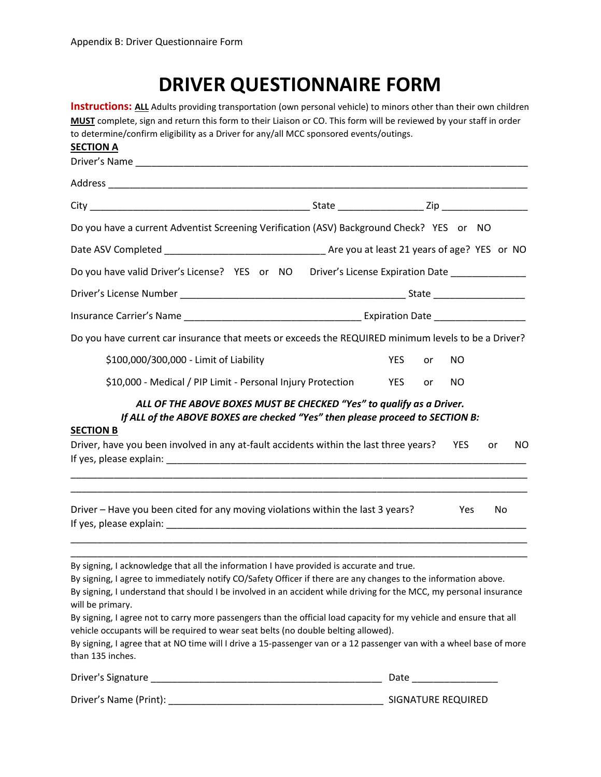### **DRIVER QUESTIONNAIRE FORM**

| <b>Instructions: ALL</b> Adults providing transportation (own personal vehicle) to minors other than their own children<br>MUST complete, sign and return this form to their Liaison or CO. This form will be reviewed by your staff in order                                                                                                                                                                                                                                                                                                                                                                                                                                                                |  |                                                                                                                |    |            |     |     |
|--------------------------------------------------------------------------------------------------------------------------------------------------------------------------------------------------------------------------------------------------------------------------------------------------------------------------------------------------------------------------------------------------------------------------------------------------------------------------------------------------------------------------------------------------------------------------------------------------------------------------------------------------------------------------------------------------------------|--|----------------------------------------------------------------------------------------------------------------|----|------------|-----|-----|
| to determine/confirm eligibility as a Driver for any/all MCC sponsored events/outings.<br><b>SECTION A</b>                                                                                                                                                                                                                                                                                                                                                                                                                                                                                                                                                                                                   |  |                                                                                                                |    |            |     |     |
|                                                                                                                                                                                                                                                                                                                                                                                                                                                                                                                                                                                                                                                                                                              |  |                                                                                                                |    |            |     |     |
|                                                                                                                                                                                                                                                                                                                                                                                                                                                                                                                                                                                                                                                                                                              |  |                                                                                                                |    |            |     |     |
|                                                                                                                                                                                                                                                                                                                                                                                                                                                                                                                                                                                                                                                                                                              |  |                                                                                                                |    |            |     |     |
| Do you have a current Adventist Screening Verification (ASV) Background Check? YES or NO                                                                                                                                                                                                                                                                                                                                                                                                                                                                                                                                                                                                                     |  |                                                                                                                |    |            |     |     |
|                                                                                                                                                                                                                                                                                                                                                                                                                                                                                                                                                                                                                                                                                                              |  |                                                                                                                |    |            |     |     |
| Do you have valid Driver's License? YES or NO Driver's License Expiration Date ______________                                                                                                                                                                                                                                                                                                                                                                                                                                                                                                                                                                                                                |  |                                                                                                                |    |            |     |     |
|                                                                                                                                                                                                                                                                                                                                                                                                                                                                                                                                                                                                                                                                                                              |  |                                                                                                                |    |            |     |     |
|                                                                                                                                                                                                                                                                                                                                                                                                                                                                                                                                                                                                                                                                                                              |  |                                                                                                                |    |            |     |     |
| Do you have current car insurance that meets or exceeds the REQUIRED minimum levels to be a Driver?                                                                                                                                                                                                                                                                                                                                                                                                                                                                                                                                                                                                          |  |                                                                                                                |    |            |     |     |
| \$100,000/300,000 - Limit of Liability                                                                                                                                                                                                                                                                                                                                                                                                                                                                                                                                                                                                                                                                       |  | <b>YES</b>                                                                                                     | or | NO         |     |     |
| \$10,000 - Medical / PIP Limit - Personal Injury Protection                                                                                                                                                                                                                                                                                                                                                                                                                                                                                                                                                                                                                                                  |  | <b>YES</b>                                                                                                     | or | <b>NO</b>  |     |     |
| ALL OF THE ABOVE BOXES MUST BE CHECKED "Yes" to qualify as a Driver.<br>If ALL of the ABOVE BOXES are checked "Yes" then please proceed to SECTION B:<br><b>SECTION B</b><br>Driver, have you been involved in any at-fault accidents within the last three years?                                                                                                                                                                                                                                                                                                                                                                                                                                           |  |                                                                                                                |    | <b>YES</b> | or  | NO. |
| Driver - Have you been cited for any moving violations within the last 3 years?                                                                                                                                                                                                                                                                                                                                                                                                                                                                                                                                                                                                                              |  |                                                                                                                |    | Yes        | No. |     |
| By signing, I acknowledge that all the information I have provided is accurate and true.<br>By signing, I agree to immediately notify CO/Safety Officer if there are any changes to the information above.<br>By signing, I understand that should I be involved in an accident while driving for the MCC, my personal insurance<br>will be primary.<br>By signing, I agree not to carry more passengers than the official load capacity for my vehicle and ensure that all<br>vehicle occupants will be required to wear seat belts (no double belting allowed).<br>By signing, I agree that at NO time will I drive a 15-passenger van or a 12 passenger van with a wheel base of more<br>than 135 inches. |  |                                                                                                                |    |            |     |     |
| Driver's Signature                                                                                                                                                                                                                                                                                                                                                                                                                                                                                                                                                                                                                                                                                           |  | Date and the set of the set of the set of the set of the set of the set of the set of the set of the set of th |    |            |     |     |

Driver's Name (Print): \_\_\_\_\_\_\_\_\_\_\_\_\_\_\_\_\_\_\_\_\_\_\_\_\_\_\_\_\_\_\_\_\_\_\_\_\_\_\_\_ SIGNATURE REQUIRED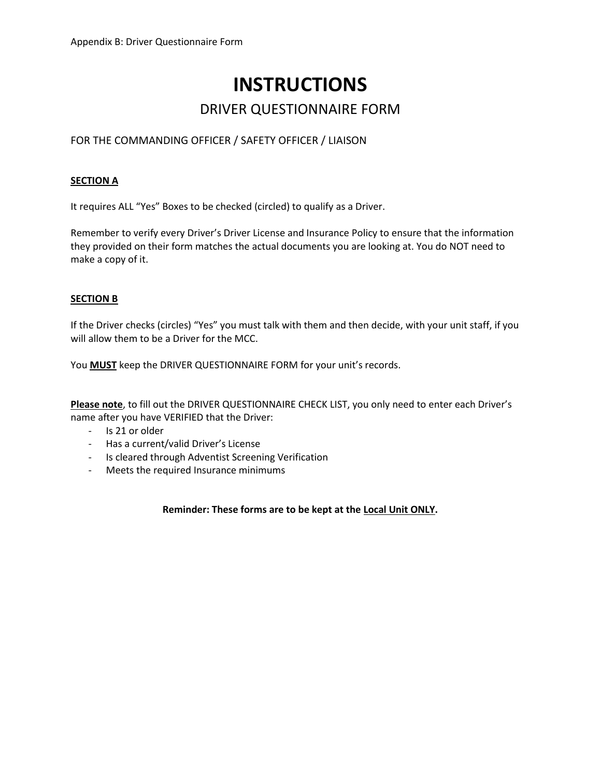# **INSTRUCTIONS**

### DRIVER QUESTIONNAIRE FORM

### FOR THE COMMANDING OFFICER / SAFETY OFFICER / LIAISON

#### **SECTION A**

It requires ALL "Yes" Boxes to be checked (circled) to qualify as a Driver.

Remember to verify every Driver's Driver License and Insurance Policy to ensure that the information they provided on their form matches the actual documents you are looking at. You do NOT need to make a copy of it.

#### **SECTION B**

If the Driver checks (circles) "Yes" you must talk with them and then decide, with your unit staff, if you will allow them to be a Driver for the MCC.

You **MUST** keep the DRIVER QUESTIONNAIRE FORM for your unit's records.

**Please note**, to fill out the DRIVER QUESTIONNAIRE CHECK LIST, you only need to enter each Driver's name after you have VERIFIED that the Driver:

- Is 21 or older
- Has a current/valid Driver's License
- Is cleared through Adventist Screening Verification
- Meets the required Insurance minimums

**Reminder: These forms are to be kept at the Local Unit ONLY.**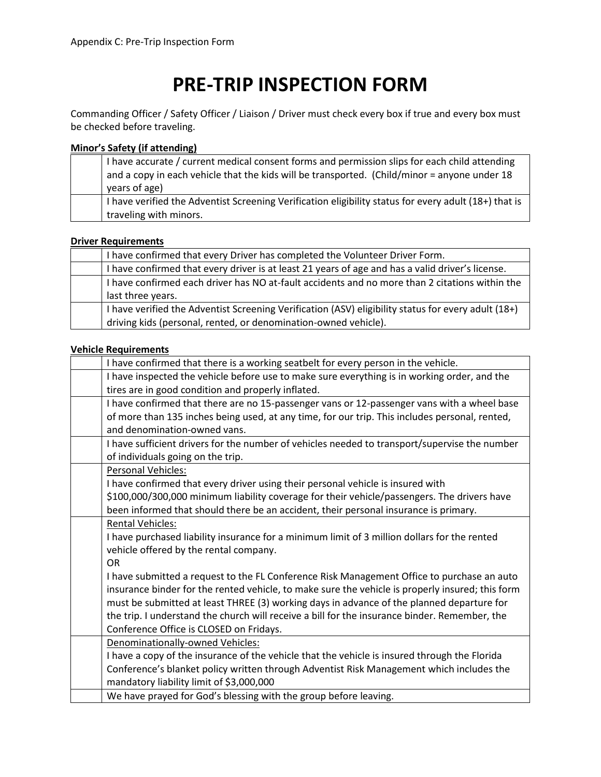## **PRE-TRIP INSPECTION FORM**

Commanding Officer / Safety Officer / Liaison / Driver must check every box if true and every box must be checked before traveling.

#### **Minor's Safety (if attending)**

|  | I have accurate / current medical consent forms and permission slips for each child attending<br>and a copy in each vehicle that the kids will be transported. (Child/minor = anyone under 18<br>years of age) |
|--|----------------------------------------------------------------------------------------------------------------------------------------------------------------------------------------------------------------|
|  | I have verified the Adventist Screening Verification eligibility status for every adult (18+) that is<br>traveling with minors.                                                                                |

#### **Driver Requirements**

| I have confirmed that every Driver has completed the Volunteer Driver Form.                         |
|-----------------------------------------------------------------------------------------------------|
| I have confirmed that every driver is at least 21 years of age and has a valid driver's license.    |
| I have confirmed each driver has NO at-fault accidents and no more than 2 citations within the      |
| last three years.                                                                                   |
| I have verified the Adventist Screening Verification (ASV) eligibility status for every adult (18+) |
| driving kids (personal, rented, or denomination-owned vehicle).                                     |

#### **Vehicle Requirements**

|                                          | I have confirmed that there is a working seatbelt for every person in the vehicle.               |
|------------------------------------------|--------------------------------------------------------------------------------------------------|
|                                          | I have inspected the vehicle before use to make sure everything is in working order, and the     |
|                                          | tires are in good condition and properly inflated.                                               |
|                                          | I have confirmed that there are no 15-passenger vans or 12-passenger vans with a wheel base      |
|                                          | of more than 135 inches being used, at any time, for our trip. This includes personal, rented,   |
| and denomination-owned vans.             |                                                                                                  |
|                                          | I have sufficient drivers for the number of vehicles needed to transport/supervise the number    |
| of individuals going on the trip.        |                                                                                                  |
| Personal Vehicles:                       |                                                                                                  |
|                                          | I have confirmed that every driver using their personal vehicle is insured with                  |
|                                          | \$100,000/300,000 minimum liability coverage for their vehicle/passengers. The drivers have      |
|                                          | been informed that should there be an accident, their personal insurance is primary.             |
| <b>Rental Vehicles:</b>                  |                                                                                                  |
|                                          | I have purchased liability insurance for a minimum limit of 3 million dollars for the rented     |
| vehicle offered by the rental company.   |                                                                                                  |
| <b>OR</b>                                |                                                                                                  |
|                                          | I have submitted a request to the FL Conference Risk Management Office to purchase an auto       |
|                                          | insurance binder for the rented vehicle, to make sure the vehicle is properly insured; this form |
|                                          | must be submitted at least THREE (3) working days in advance of the planned departure for        |
|                                          | the trip. I understand the church will receive a bill for the insurance binder. Remember, the    |
| Conference Office is CLOSED on Fridays.  |                                                                                                  |
| Denominationally-owned Vehicles:         |                                                                                                  |
|                                          | I have a copy of the insurance of the vehicle that the vehicle is insured through the Florida    |
|                                          | Conference's blanket policy written through Adventist Risk Management which includes the         |
| mandatory liability limit of \$3,000,000 |                                                                                                  |
|                                          | We have prayed for God's blessing with the group before leaving.                                 |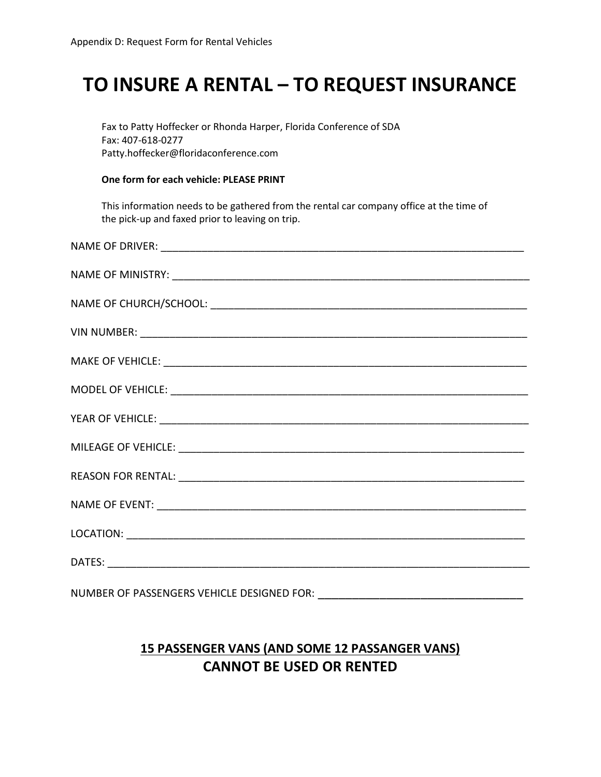### **TO INSURE A RENTAL – TO REQUEST INSURANCE**

Fax to Patty Hoffecker or Rhonda Harper, Florida Conference of SDA Fax: 407-618-0277 Patty.hoffecker@floridaconference.com

#### **One form for each vehicle: PLEASE PRINT**

This information needs to be gathered from the rental car company office at the time of the pick-up and faxed prior to leaving on trip.

### **15 PASSENGER VANS (AND SOME 12 PASSANGER VANS) CANNOT BE USED OR RENTED**